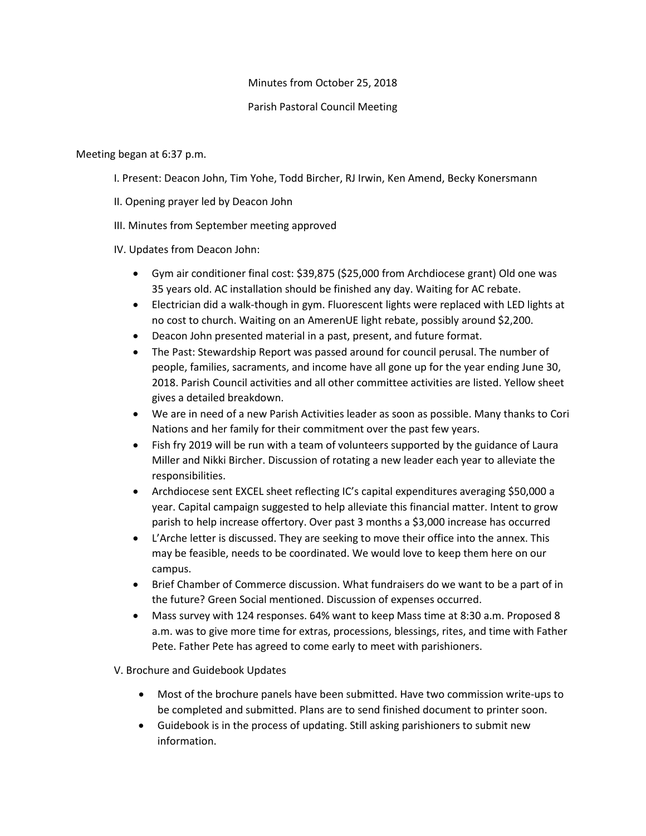## Minutes from October 25, 2018

## Parish Pastoral Council Meeting

## Meeting began at 6:37 p.m.

I. Present: Deacon John, Tim Yohe, Todd Bircher, RJ Irwin, Ken Amend, Becky Konersmann

- II. Opening prayer led by Deacon John
- III. Minutes from September meeting approved

IV. Updates from Deacon John:

- Gym air conditioner final cost: \$39,875 (\$25,000 from Archdiocese grant) Old one was 35 years old. AC installation should be finished any day. Waiting for AC rebate.
- Electrician did a walk-though in gym. Fluorescent lights were replaced with LED lights at no cost to church. Waiting on an AmerenUE light rebate, possibly around \$2,200.
- Deacon John presented material in a past, present, and future format.
- The Past: Stewardship Report was passed around for council perusal. The number of people, families, sacraments, and income have all gone up for the year ending June 30, 2018. Parish Council activities and all other committee activities are listed. Yellow sheet gives a detailed breakdown.
- We are in need of a new Parish Activities leader as soon as possible. Many thanks to Cori Nations and her family for their commitment over the past few years.
- Fish fry 2019 will be run with a team of volunteers supported by the guidance of Laura Miller and Nikki Bircher. Discussion of rotating a new leader each year to alleviate the responsibilities.
- Archdiocese sent EXCEL sheet reflecting IC's capital expenditures averaging \$50,000 a year. Capital campaign suggested to help alleviate this financial matter. Intent to grow parish to help increase offertory. Over past 3 months a \$3,000 increase has occurred
- L'Arche letter is discussed. They are seeking to move their office into the annex. This may be feasible, needs to be coordinated. We would love to keep them here on our campus.
- Brief Chamber of Commerce discussion. What fundraisers do we want to be a part of in the future? Green Social mentioned. Discussion of expenses occurred.
- Mass survey with 124 responses. 64% want to keep Mass time at 8:30 a.m. Proposed 8 a.m. was to give more time for extras, processions, blessings, rites, and time with Father Pete. Father Pete has agreed to come early to meet with parishioners.

V. Brochure and Guidebook Updates

- Most of the brochure panels have been submitted. Have two commission write-ups to be completed and submitted. Plans are to send finished document to printer soon.
- Guidebook is in the process of updating. Still asking parishioners to submit new information.